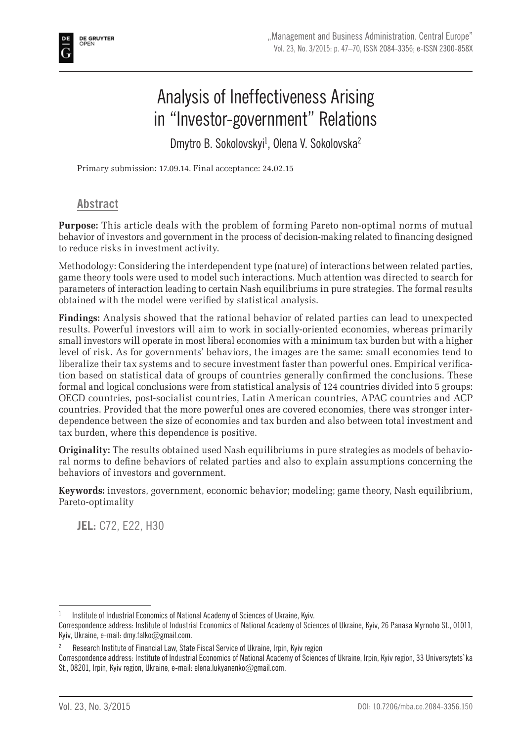

# Analysis of Ineffectiveness Arising in "Investor-government" Relations

Dmytro B. Sokolovskyi<sup>1</sup>, Olena V. Sokolovska<sup>2</sup>

Primary submission: 17.09.14. Final acceptance: 24.02.15

### **Abstract**

**Purpose:** This article deals with the problem of forming Pareto non-optimal norms of mutual behavior of investors and government in the process of decision-making related to financing designed to reduce risks in investment activity.

Methodology: Considering the interdependent type (nature) of interactions between related parties, game theory tools were used to model such interactions. Much attention was directed to search for parameters of interaction leading to certain Nash equilibriums in pure strategies. The formal results obtained with the model were verified by statistical analysis.

**Findings:** Analysis showed that the rational behavior of related parties can lead to unexpected results. Powerful investors will aim to work in socially-oriented economies, whereas primarily small investors will operate in most liberal economies with a minimum tax burden but with a higher level of risk. As for governments' behaviors, the images are the same: small economies tend to liberalize their tax systems and to secure investment faster than powerful ones. Empirical verification based on statistical data of groups of countries generally confirmed the conclusions. These formal and logical conclusions were from statistical analysis of 124 countries divided into 5 groups: OECD countries, post-socialist countries, Latin American countries, APAC countries and ACP countries. Provided that the more powerful ones are covered economies, there was stronger interdependence between the size of economies and tax burden and also between total investment and tax burden, where this dependence is positive.

**Originality:** The results obtained used Nash equilibriums in pure strategies as models of behavioral norms to define behaviors of related parties and also to explain assumptions concerning the behaviors of investors and government.

**Keywords:** investors, government, economic behavior; modeling; game theory, Nash equilibrium, Pareto-optimality

**JEL:** C72, E22, H30

Institute of Industrial Economics of National Academy of Sciences of Ukraine, Kyiv.

Correspondence address: Institute of Industrial Economics of National Academy of Sciences of Ukraine, Kyiv, 26 Panasa Myrnoho St., 01011, Kyiv, Ukraine, e-mail: dmy.falko@gmail.com.

<sup>2</sup> Research Institute of Financial Law, State Fiscal Service of Ukraine, Irpin, Kyiv region

Correspondence address: Institute of Industrial Economics of National Academy of Sciences of Ukraine, Irpin, Kyiv region, 33 Universytets`ka St., 08201, Irpin, Kyiv region, Ukraine, e-mail: elena.lukyanenko@gmail.com.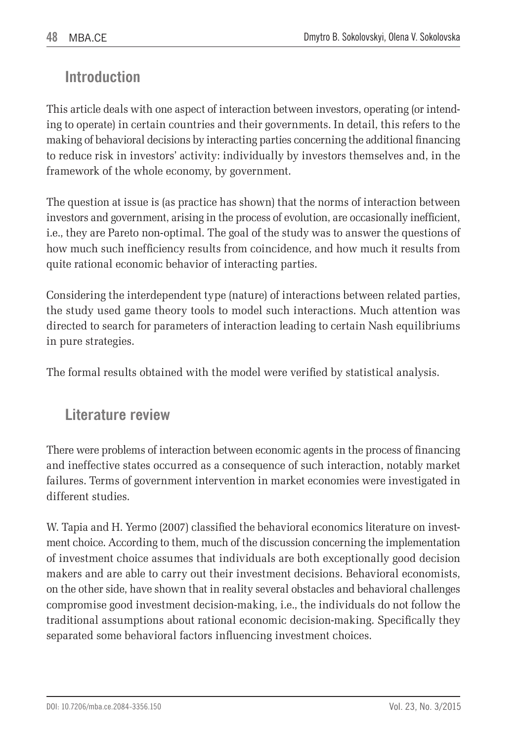## **Introduction**

This article deals with one aspect of interaction between investors, operating (or intending to operate) in certain countries and their governments. In detail, this refers to the making of behavioral decisions by interacting parties concerning the additional financing to reduce risk in investors' activity: individually by investors themselves and, in the framework of the whole economy, by government.

The question at issue is (as practice has shown) that the norms of interaction between investors and government, arising in the process of evolution, are occasionally inefficient, i.e., they are Pareto non-optimal. The goal of the study was to answer the questions of how much such inefficiency results from coincidence, and how much it results from quite rational economic behavior of interacting parties.

Considering the interdependent type (nature) of interactions between related parties, the study used game theory tools to model such interactions. Much attention was directed to search for parameters of interaction leading to certain Nash equilibriums in pure strategies.

The formal results obtained with the model were verified by statistical analysis.

### **Literature review**

There were problems of interaction between economic agents in the process of financing and ineffective states occurred as a consequence of such interaction, notably market failures. Terms of government intervention in market economies were investigated in different studies.

W. Tapia and H. Yermo (2007) classified the behavioral economics literature on investment choice. According to them, much of the discussion concerning the implementation of investment choice assumes that individuals are both exceptionally good decision makers and are able to carry out their investment decisions. Behavioral economists, on the other side, have shown that in reality several obstacles and behavioral challenges compromise good investment decision-making, i.e., the individuals do not follow the traditional assumptions about rational economic decision-making. Specifically they separated some behavioral factors influencing investment choices.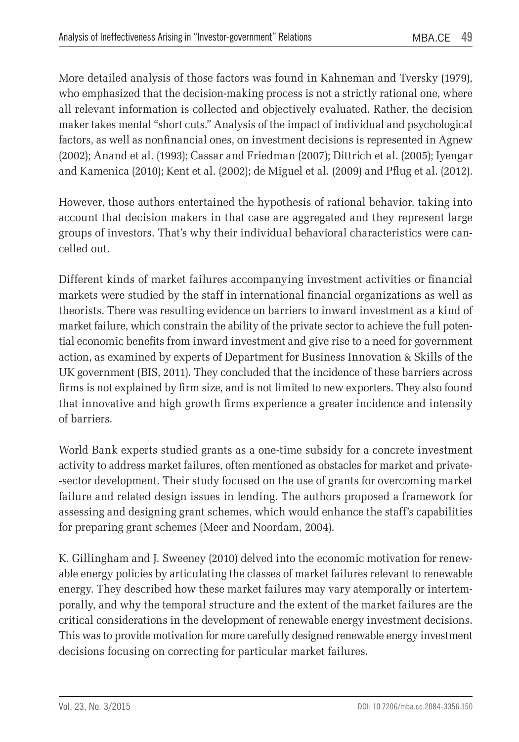More detailed analysis of those factors was found in Kahneman and Tversky (1979), who emphasized that the decision-making process is not a strictly rational one, where all relevant information is collected and objectively evaluated. Rather, the decision maker takes mental "short cuts." Analysis of the impact of individual and psychological factors, as well as nonfinancial ones, on investment decisions is represented in Agnew (2002); Anand et al. (1993); Cassar and Friedman (2007); Dittrich et al. (2005); Iyengar and Kamenica (2010); Kent et al. (2002); de Miguel et al. (2009) and Pflug et al. (2012).

However, those authors entertained the hypothesis of rational behavior, taking into account that decision makers in that case are aggregated and they represent large groups of investors. That's why their individual behavioral characteristics were cancelled out.

Different kinds of market failures accompanying investment activities or financial markets were studied by the staff in international financial organizations as well as theorists. There was resulting evidence on barriers to inward investment as a kind of market failure, which constrain the ability of the private sector to achieve the full potential economic benefits from inward investment and give rise to a need for government action, as examined by experts of Department for Business Innovation & Skills of the UK government (BIS, 2011). They concluded that the incidence of these barriers across firms is not explained by firm size, and is not limited to new exporters. They also found that innovative and high growth firms experience a greater incidence and intensity of barriers.

World Bank experts studied grants as a one-time subsidy for a concrete investment activity to address market failures, often mentioned as obstacles for market and private- -sector development. Their study focused on the use of grants for overcoming market failure and related design issues in lending. The authors proposed a framework for assessing and designing grant schemes, which would enhance the staff's capabilities for preparing grant schemes (Meer and Noordam, 2004).

K. Gillingham and J. Sweeney (2010) delved into the economic motivation for renewable energy policies by articulating the classes of market failures relevant to renewable energy. They described how these market failures may vary atemporally or intertemporally, and why the temporal structure and the extent of the market failures are the critical considerations in the development of renewable energy investment decisions. This was to provide motivation for more carefully designed renewable energy investment decisions focusing on correcting for particular market failures.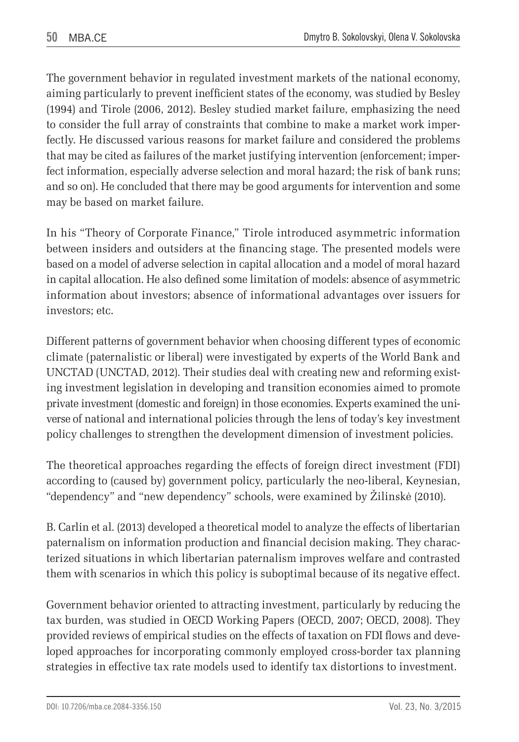The government behavior in regulated investment markets of the national economy, aiming particularly to prevent inefficient states of the economy, was studied by Besley (1994) and Tirole (2006, 2012). Besley studied market failure, emphasizing the need to consider the full array of constraints that combine to make a market work imperfectly. He discussed various reasons for market failure and considered the problems that may be cited as failures of the market justifying intervention (enforcement; imperfect information, especially adverse selection and moral hazard; the risk of bank runs; and so on). He concluded that there may be good arguments for intervention and some may be based on market failure.

In his "Theory of Corporate Finance," Tirole introduced asymmetric information between insiders and outsiders at the financing stage. The presented models were based on a model of adverse selection in capital allocation and a model of moral hazard in capital allocation. He also defined some limitation of models: absence of asymmetric information about investors; absence of informational advantages over issuers for investors; etc.

Different patterns of government behavior when choosing different types of economic climate (paternalistic or liberal) were investigated by experts of the World Bank and UNCTAD (UNCTAD, 2012). Their studies deal with creating new and reforming existing investment legislation in developing and transition economies aimed to promote private investment (domestic and foreign) in those economies. Experts examined the universe of national and international policies through the lens of today's key investment policy challenges to strengthen the development dimension of investment policies.

The theoretical approaches regarding the effects of foreign direct investment (FDI) according to (caused by) government policy, particularly the neo-liberal, Keynesian, "dependency" and "new dependency" schools, were examined by Žilinskė (2010).

B. Carlin et al. (2013) developed a theoretical model to analyze the effects of libertarian paternalism on information production and financial decision making. They characterized situations in which libertarian paternalism improves welfare and contrasted them with scenarios in which this policy is suboptimal because of its negative effect.

Government behavior oriented to attracting investment, particularly by reducing the tax burden, was studied in OECD Working Papers (OECD, 2007; OECD, 2008). They provided reviews of empirical studies on the effects of taxation on FDI flows and developed approaches for incorporating commonly employed cross-border tax planning strategies in effective tax rate models used to identify tax distortions to investment.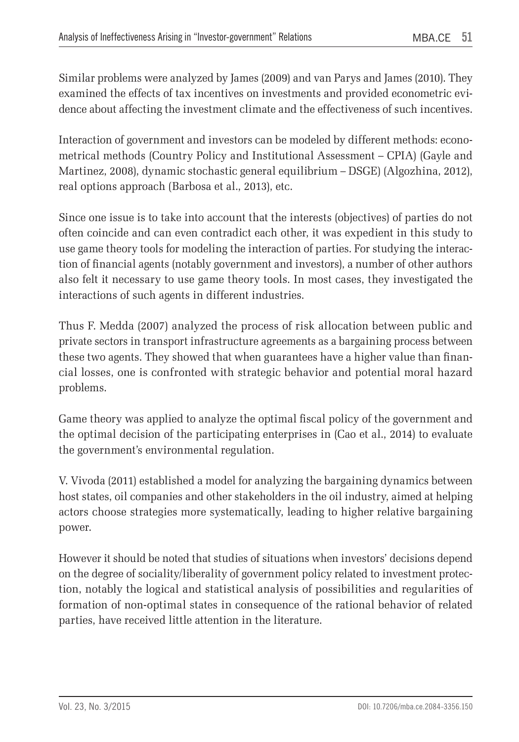Similar problems were analyzed by James (2009) and van Parys and James (2010). They examined the effects of tax incentives on investments and provided econometric evidence about affecting the investment climate and the effectiveness of such incentives.

Interaction of government and investors can be modeled by different methods: econometrical methods (Country Policy and Institutional Assessment – CPIA) (Gayle and Martinez, 2008), dynamic stochastic general equilibrium – DSGE) (Algozhina, 2012), real options approach (Barbosa et al., 2013), etc.

Since one issue is to take into account that the interests (objectives) of parties do not often coincide and can even contradict each other, it was expedient in this study to use game theory tools for modeling the interaction of parties. For studying the interaction of financial agents (notably government and investors), a number of other authors also felt it necessary to use game theory tools. In most cases, they investigated the interactions of such agents in different industries.

Thus F. Medda (2007) analyzed the process of risk allocation between public and private sectors in transport infrastructure agreements as a bargaining process between these two agents. They showed that when guarantees have a higher value than financial losses, one is confronted with strategic behavior and potential moral hazard problems.

Game theory was applied to analyze the optimal fiscal policy of the government and the optimal decision of the participating enterprises in (Cao et al., 2014) to evaluate the government's environmental regulation.

V. Vivoda (2011) established a model for analyzing the bargaining dynamics between host states, oil companies and other stakeholders in the oil industry, aimed at helping actors choose strategies more systematically, leading to higher relative bargaining power.

However it should be noted that studies of situations when investors' decisions depend on the degree of sociality/liberality of government policy related to investment protection, notably the logical and statistical analysis of possibilities and regularities of formation of non-optimal states in consequence of the rational behavior of related parties, have received little attention in the literature.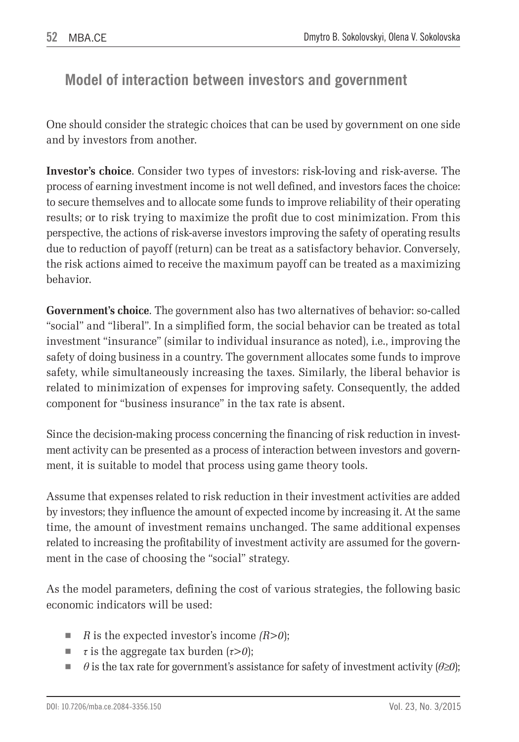## **Model of interaction between investors and government**

One should consider the strategic choices that can be used by government on one side and by investors from another.

**Investor's choice**. Consider two types of investors: risk-loving and risk-averse. The process of earning investment income is not well defined, and investors faces the choice: to secure themselves and to allocate some funds to improve reliability of their operating results; or to risk trying to maximize the profit due to cost minimization. From this perspective, the actions of risk-averse investors improving the safety of operating results due to reduction of payoff (return) can be treat as a satisfactory behavior. Conversely, the risk actions aimed to receive the maximum payoff can be treated as a maximizing behavior.

**Government's choice**. The government also has two alternatives of behavior: so-called "social" and "liberal". In a simplified form, the social behavior can be treated as total investment "insurance" (similar to individual insurance as noted), i.e., improving the safety of doing business in a country. The government allocates some funds to improve safety, while simultaneously increasing the taxes. Similarly, the liberal behavior is related to minimization of expenses for improving safety. Consequently, the added component for "business insurance" in the tax rate is absent.

Since the decision-making process concerning the financing of risk reduction in investment activity can be presented as a process of interaction between investors and government, it is suitable to model that process using game theory tools.

Assume that expenses related to risk reduction in their investment activities are added by investors; they influence the amount of expected income by increasing it. At the same time, the amount of investment remains unchanged. The same additional expenses related to increasing the profitability of investment activity are assumed for the government in the case of choosing the "social" strategy.

As the model parameters, defining the cost of various strategies, the following basic economic indicators will be used:

- *R* is the expected investor's income  $(R>0)$ ;
- *τ* is the aggregate tax burden (*τ>0*);
- $\theta$  is the tax rate for government's assistance for safety of investment activity ( $\theta \geq 0$ );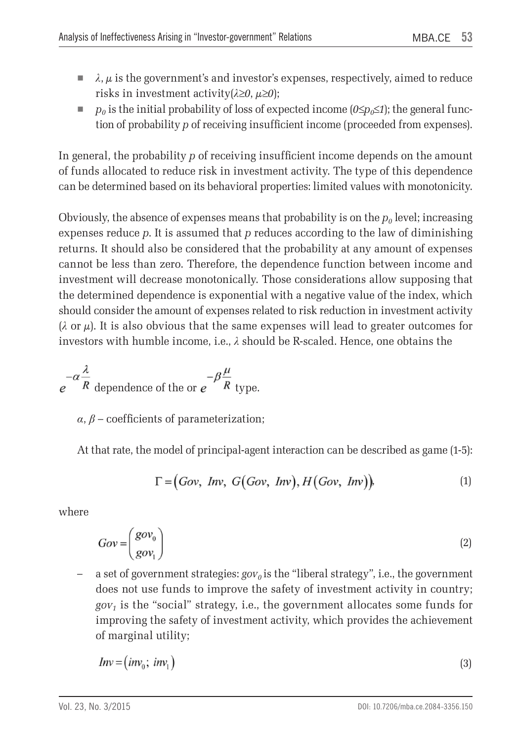- $\blacksquare$  *λ*,  $\mu$  is the government's and investor's expenses, respectively, aimed to reduce risks in investment activity(*λ*≥*0*, *µ*≥*0*);
- *p<sub>0</sub>* is the initial probability of loss of expected income ( $0 \le p_0 \le 1$ ); the general function of probability *p* of receiving insufficient income (proceeded from expenses).

In general, the probability *p* of receiving insufficient income depends on the amount of funds allocated to reduce risk in investment activity. The type of this dependence can be determined based on its behavioral properties: limited values with monotonicity.

Obviously, the absence of expenses means that probability is on the  $p<sub>0</sub>$  level; increasing expenses reduce *p*. It is assumed that *p* reduces according to the law of diminishing returns. It should also be considered that the probability at any amount of expenses cannot be less than zero. Therefore, the dependence function between income and investment will decrease monotonically. Those considerations allow supposing that the determined dependence is exponential with a negative value of the index, which should consider the amount of expenses related to risk reduction in investment activity  $(\lambda$  or  $\mu$ ). It is also obvious that the same expenses will lead to greater outcomes for investors with humble income, i.e., *λ* should be R-scaled. Hence, one obtains the

$$
e^{-\alpha \frac{\lambda}{R}}
$$
 dependence of the or  $e^{-\beta \frac{\mu}{R}}$  type.

 $\alpha$ ,  $\beta$  – coefficients of parameterization;

At that rate, the model of principal-agent interaction can be described as game (1-5):

$$
\Gamma = (Gov, \text{ Inv}, G(Gov, \text{ Inv}), H(Gov, \text{ Inv})), \tag{1}
$$

where

$$
Gov = \begin{pmatrix} gov_0 \\ gov_1 \end{pmatrix} \tag{2}
$$

a set of government strategies:  $gov<sub>0</sub>$  is the "liberal strategy", i.e., the government does not use funds to improve the safety of investment activity in country;  $gov<sub>1</sub>$  is the "social" strategy, i.e., the government allocates some funds for improving the safety of investment activity, which provides the achievement of marginal utility;

$$
Inv = (inv_0; inv_1)
$$
 (3)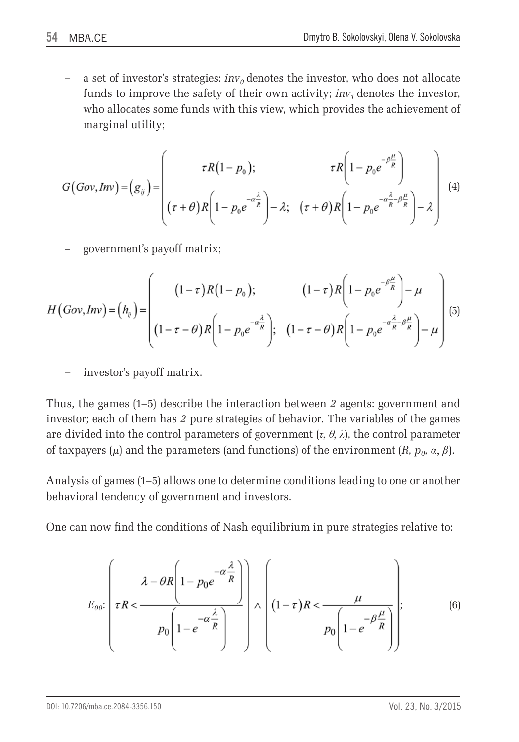a set of investor's strategies:  $inv_0$  denotes the investor, who does not allocate funds to improve the safety of their own activity;  $inv_1$  denotes the investor, who allocates some funds with this view, which provides the achievement of marginal utility;

$$
G(Gov, Inv) = (g_{ij}) = \begin{pmatrix} \tau R(1-p_0); & \tau R\left(1-p_0 e^{-\beta \frac{\mu}{R}}\right) \\ (\tau + \theta)R\left(1-p_0 e^{-\alpha \frac{\lambda}{R}}\right) - \lambda; & (\tau + \theta)R\left(1-p_0 e^{-\alpha \frac{\lambda}{R} - \beta \frac{\mu}{R}}\right) - \lambda \end{pmatrix} \tag{4}
$$

– government's payoff matrix;

$$
H\left(Gov, Inv\right) = \left(h_{ij}\right) = \left(\begin{array}{cc} \left(1-\tau\right)R\left(1-p_0\right); & \left(1-\tau\right)R\left(1-p_0e^{-\beta\frac{\mu}{R}}\right)-\mu\\ \left(1-\tau-\theta\right)R\left(1-p_0e^{-\alpha\frac{\lambda}{R}}\right); & \left(1-\tau-\theta\right)R\left(1-p_0e^{-\alpha\frac{\lambda}{R}-\beta\frac{\mu}{R}}\right)-\mu\end{array}\right) \tag{5}
$$

– investor's payoff matrix.

Thus, the games (1–5) describe the interaction between *2* agents: government and investor; each of them has *2* pure strategies of behavior. The variables of the games are divided into the control parameters of government  $(\tau, \theta, \lambda)$ , the control parameter of taxpayers ( $\mu$ ) and the parameters (and functions) of the environment (*R*,  $p_0$ ,  $\alpha$ ,  $\beta$ ).

Analysis of games (1–5) allows one to determine conditions leading to one or another behavioral tendency of government and investors.

One can now find the conditions of Nash equilibrium in pure strategies relative to:

$$
E_{oo}:\left(\tau R < \frac{\lambda - \theta R \left(1 - p_0 e^{-\alpha \frac{\lambda}{R}}\right)}{p_0 \left(1 - e^{-\alpha \frac{\lambda}{R}}\right)}\right) \wedge \left(1 - \tau\right) R < \frac{\mu}{p_0 \left(1 - e^{-\beta \frac{\mu}{R}}\right)}\right); \tag{6}
$$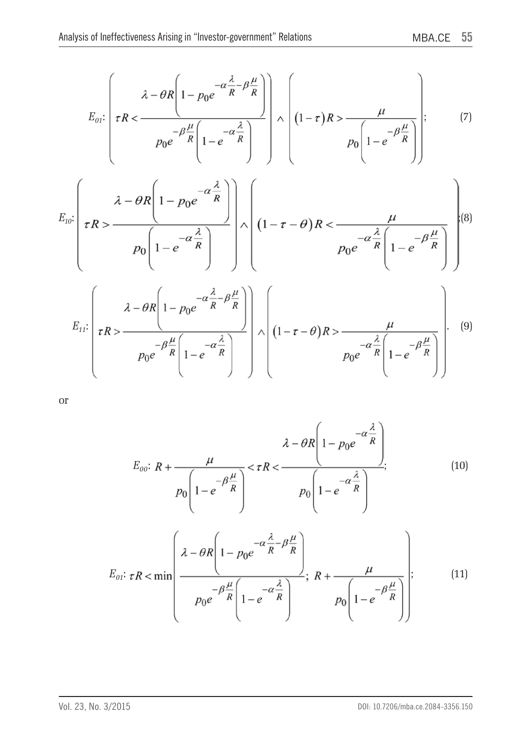$$
E_{01}: \left(\tau R < \frac{\lambda - \theta R \left(1 - p_0 e^{-\alpha \frac{\lambda}{R} - \beta \frac{\mu}{R}}\right)}{p_0 e^{-\beta \frac{\mu}{R} \left(1 - e^{-\alpha \frac{\lambda}{R}}\right)}}\right) \wedge \left(1 - \tau\right) R > \frac{\mu}{p_0 \left(1 - e^{-\beta \frac{\mu}{R}}\right)}\right);
$$
(7)

$$
E_{10}: \left(\tau R > \frac{\lambda - \theta R \left(1 - p_0 e^{-\alpha \frac{\lambda}{R}}\right)}{p_0 \left(1 - e^{-\alpha \frac{\lambda}{R}}\right)}\right) \wedge \left(1 - \tau - \theta\right)R < \frac{\mu}{p_0 e^{-\alpha \frac{\lambda}{R} \left(1 - e^{-\beta \frac{\mu}{R}}\right)}}\right) \tag{8}
$$

$$
E_{11}: \left(\tau R > \frac{\lambda - \theta R \left(1 - p_0 e^{-\alpha \frac{\lambda}{R} - \beta \frac{\mu}{R}}\right)}{p_0 e^{-\beta \frac{\mu}{R} \left(1 - e^{-\alpha \frac{\lambda}{R}}\right)}}\right) \wedge \left(1 - \tau - \theta\right) R > \frac{\mu}{p_0 e^{-\alpha \frac{\lambda}{R} \left(1 - e^{-\beta \frac{\mu}{R}}\right)}}\right) \tag{9}
$$

or

$$
E_{oo}: R + \frac{\mu}{p_0 \left(1 - e^{-\beta \frac{\mu}{R}}\right)} < \tau R < \frac{\lambda - \theta R \left(1 - p_0 e^{-\alpha \frac{\lambda}{R}}\right)}{p_0 \left(1 - e^{-\alpha \frac{\lambda}{R}}\right)};
$$
(10)

$$
E_{01}: \tau R < \min\left(\frac{\lambda - \theta R \left(1 - p_0 e^{-\alpha \frac{\lambda}{R} - \beta \frac{\mu}{R}}\right)}{p_0 e^{-\beta \frac{\mu}{R} \left(1 - e^{-\alpha \frac{\lambda}{R}}\right)}}; \ R + \frac{\mu}{p_0 \left(1 - e^{-\beta \frac{\mu}{R}}\right)}\right);
$$
(11)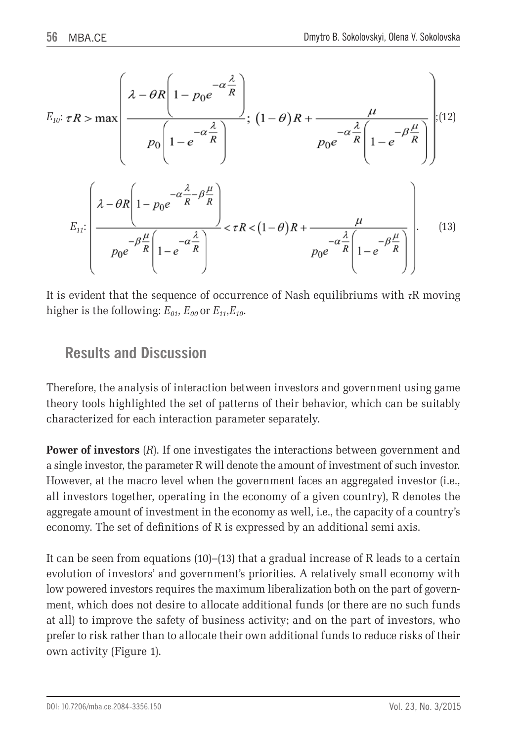$$
E_{10}: \tau R > \max \left(\frac{\lambda - \theta R \left(1 - p_0 e^{-\alpha \frac{\lambda}{R}}\right)}{p_0 \left(1 - e^{-\alpha \frac{\lambda}{R}}\right)}; \left(1 - \theta\right) R + \frac{\mu}{p_0 e^{-\alpha \frac{\lambda}{R} \left(1 - e^{-\beta \frac{\mu}{R}}\right)}}\right); \quad (12)
$$
\n
$$
E_{11}: \left(\frac{\lambda - \theta R \left(1 - p_0 e^{-\alpha \frac{\lambda}{R} - \beta \frac{\mu}{R}}\right)}{p_0 e^{-\beta \frac{\mu}{R} \left(1 - e^{-\alpha \frac{\lambda}{R}}\right)}} < \tau R < (1 - \theta) R + \frac{\mu}{p_0 e^{-\alpha \frac{\lambda}{R} \left(1 - e^{-\beta \frac{\mu}{R}}\right)}}\right).
$$
\n(13)

It is evident that the sequence of occurrence of Nash equilibriums with *τ*R moving higher is the following:  $E_{01}$ ,  $E_{00}$  or  $E_{11}$ ,  $E_{10}$ .

## **Results and Discussion**

Therefore, the analysis of interaction between investors and government using game theory tools highlighted the set of patterns of their behavior, which can be suitably characterized for each interaction parameter separately.

**Power of investors** (*R*). If one investigates the interactions between government and a single investor, the parameter R will denote the amount of investment of such investor. However, at the macro level when the government faces an aggregated investor (i.e., all investors together, operating in the economy of a given country), R denotes the aggregate amount of investment in the economy as well, i.e., the capacity of a country's economy. The set of definitions of R is expressed by an additional semi axis.

It can be seen from equations (10)–(13) that a gradual increase of R leads to a certain evolution of investors' and government's priorities. A relatively small economy with low powered investors requires the maximum liberalization both on the part of government, which does not desire to allocate additional funds (or there are no such funds at all) to improve the safety of business activity; and on the part of investors, who prefer to risk rather than to allocate their own additional funds to reduce risks of their own activity (Figure 1).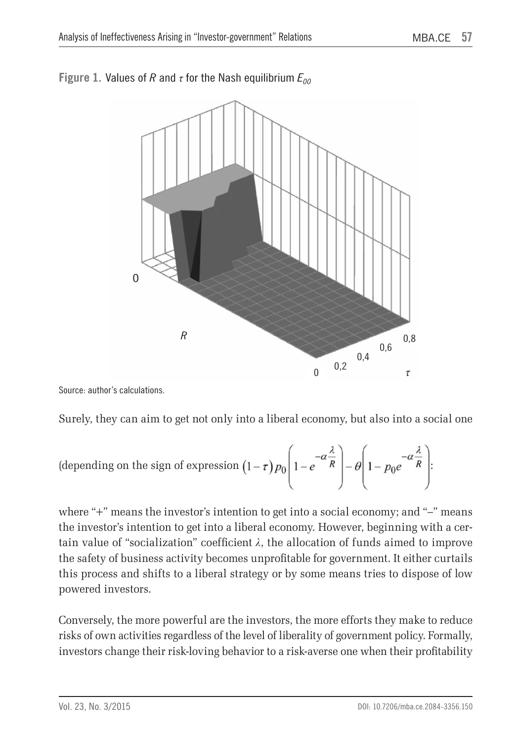

### **Figure 1.** Values of *R* and  $\tau$  for the Nash equilibrium  $E_{00}$

Source: author's calculations.

Surely, they can aim to get not only into a liberal economy, but also into a social one

(depending on the sign of expression 
$$
(1 - \tau) p_0 \left( 1 - e^{-\alpha \frac{\lambda}{R}} \right) - \theta \left( 1 - p_0 e^{-\alpha \frac{\lambda}{R}} \right)
$$
:

where "+" means the investor's intention to get into a social economy; and "–" means the investor's intention to get into a liberal economy. However, beginning with a certain value of "socialization" coefficient  $\lambda$ , the allocation of funds aimed to improve the safety of business activity becomes unprofitable for government. It either curtails this process and shifts to a liberal strategy or by some means tries to dispose of low powered investors.

Conversely, the more powerful are the investors, the more efforts they make to reduce risks of own activities regardless of the level of liberality of government policy. Formally, investors change their risk-loving behavior to a risk-averse one when their profitability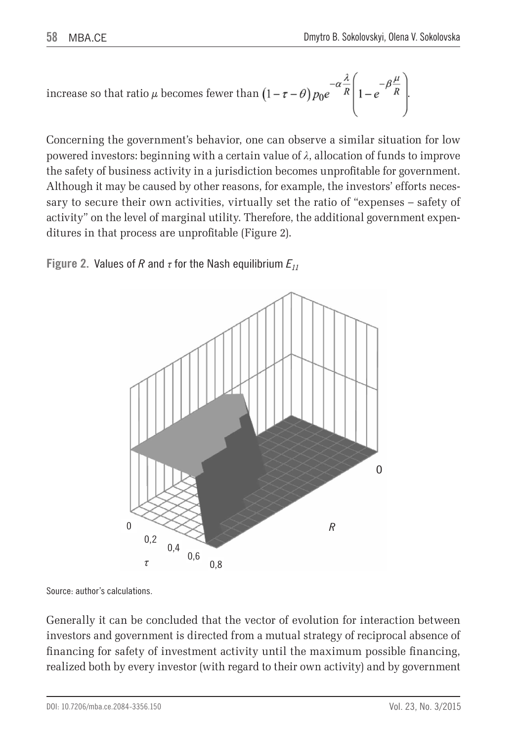increase so that ratio 
$$
\mu
$$
 becomes fewer than  $\left(1 - \tau - \theta\right) p_0 e^{-\alpha} \frac{\lambda}{R} \left(1 - e^{-\beta} \frac{\mu}{R}\right)$ .

Concerning the government's behavior, one can observe a similar situation for low powered investors: beginning with a certain value of *λ*, allocation of funds to improve the safety of business activity in a jurisdiction becomes unprofitable for government. Although it may be caused by other reasons, for example, the investors' efforts necessary to secure their own activities, virtually set the ratio of "expenses – safety of activity" on the level of marginal utility. Therefore, the additional government expenditures in that process are unprofitable (Figure 2).

**Figure 2.** Values of *R* and  $\tau$  for the Nash equilibrium  $E_{11}$ 



Source: author's calculations.

Generally it can be concluded that the vector of evolution for interaction between investors and government is directed from a mutual strategy of reciprocal absence of financing for safety of investment activity until the maximum possible financing, realized both by every investor (with regard to their own activity) and by government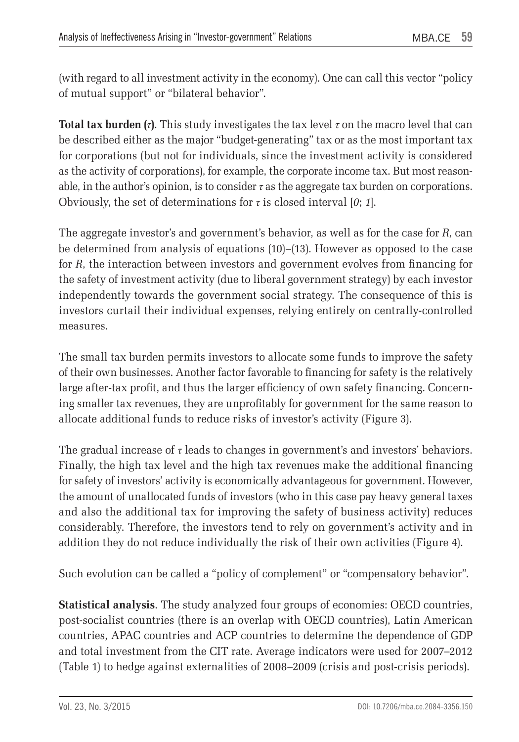(with regard to all investment activity in the economy). One can call this vector "policy of mutual support" or "bilateral behavior".

**Total tax burden (***τ***)**. This study investigates the tax level *τ* on the macro level that can be described either as the major "budget-generating" tax or as the most important tax for corporations (but not for individuals, since the investment activity is considered as the activity of corporations), for example, the corporate income tax. But most reasonable, in the author's opinion, is to consider  $\tau$  as the aggregate tax burden on corporations. Obviously, the set of determinations for  $\tau$  is closed interval [0; 1].

The aggregate investor's and government's behavior, as well as for the case for *R*, can be determined from analysis of equations (10)–(13). However as opposed to the case for *R*, the interaction between investors and government evolves from financing for the safety of investment activity (due to liberal government strategy) by each investor independently towards the government social strategy. The consequence of this is investors curtail their individual expenses, relying entirely on centrally-controlled measures.

The small tax burden permits investors to allocate some funds to improve the safety of their own businesses. Another factor favorable to financing for safety is the relatively large after-tax profit, and thus the larger efficiency of own safety financing. Concerning smaller tax revenues, they are unprofitably for government for the same reason to allocate additional funds to reduce risks of investor's activity (Figure 3).

The gradual increase of  $\tau$  leads to changes in government's and investors' behaviors. Finally, the high tax level and the high tax revenues make the additional financing for safety of investors' activity is economically advantageous for government. However, the amount of unallocated funds of investors (who in this case pay heavy general taxes and also the additional tax for improving the safety of business activity) reduces considerably. Therefore, the investors tend to rely on government's activity and in addition they do not reduce individually the risk of their own activities (Figure 4).

Such evolution can be called a "policy of complement" or "compensatory behavior".

**Statistical analysis**. The study analyzed four groups of economies: OECD countries, post-socialist countries (there is an overlap with OECD countries), Latin American countries, APAC countries and ACP countries to determine the dependence of GDP and total investment from the CIT rate. Average indicators were used for 2007–2012 (Table 1) to hedge against externalities of 2008–2009 (crisis and post-crisis periods).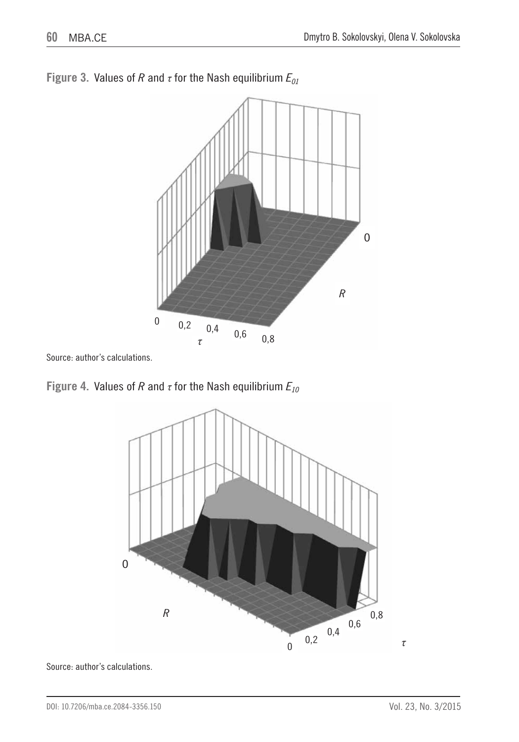

**Figure 3.** Values of *R* and *τ* for the Nash equilibrium *E01*

Source: author's calculations.





Source: author's calculations.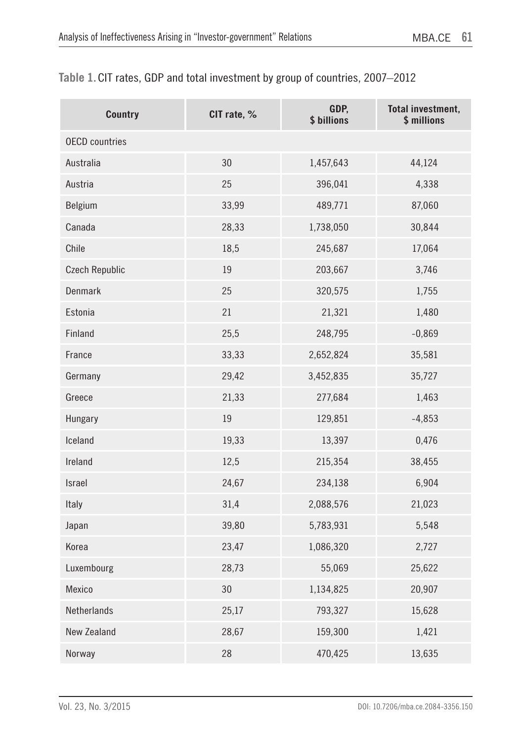| Table 1. CIT rates, GDP and total investment by group of countries, 2007–2012 |  |  |  |  |  |
|-------------------------------------------------------------------------------|--|--|--|--|--|
|-------------------------------------------------------------------------------|--|--|--|--|--|

| <b>Country</b>        | CIT rate, % | GDP,<br>\$ billions | Total investment,<br>\$ millions |
|-----------------------|-------------|---------------------|----------------------------------|
| <b>OECD</b> countries |             |                     |                                  |
| Australia             | 30          | 1,457,643           | 44,124                           |
| Austria               | 25          | 396,041             | 4,338                            |
| Belgium               | 33,99       | 489,771             | 87,060                           |
| Canada                | 28,33       | 1,738,050           | 30,844                           |
| Chile                 | 18,5        | 245,687             | 17,064                           |
| <b>Czech Republic</b> | 19          | 203,667             | 3,746                            |
| Denmark               | 25          | 320,575             | 1,755                            |
| Estonia               | 21          | 21,321              | 1,480                            |
| Finland               | 25,5        | 248,795             | $-0,869$                         |
| France                | 33,33       | 2,652,824           | 35,581                           |
| Germany               | 29,42       | 3,452,835           | 35,727                           |
| Greece                | 21,33       | 277,684             | 1,463                            |
| Hungary               | 19          | 129,851             | $-4,853$                         |
| Iceland               | 19,33       | 13,397              | 0,476                            |
| Ireland               | 12,5        | 215,354             | 38,455                           |
| Israel                | 24,67       | 234,138             | 6,904                            |
| Italy                 | 31,4        | 2,088,576           | 21,023                           |
| Japan                 | 39,80       | 5,783,931           | 5,548                            |
| Korea                 | 23,47       | 1,086,320           | 2,727                            |
| Luxembourg            | 28,73       | 55,069              | 25,622                           |
| <b>Mexico</b>         | 30          | 1,134,825           | 20,907                           |
| Netherlands           | 25,17       | 793,327             | 15,628                           |
| New Zealand           | 28,67       | 159,300             | 1,421                            |
| Norway                | 28          | 470,425             | 13,635                           |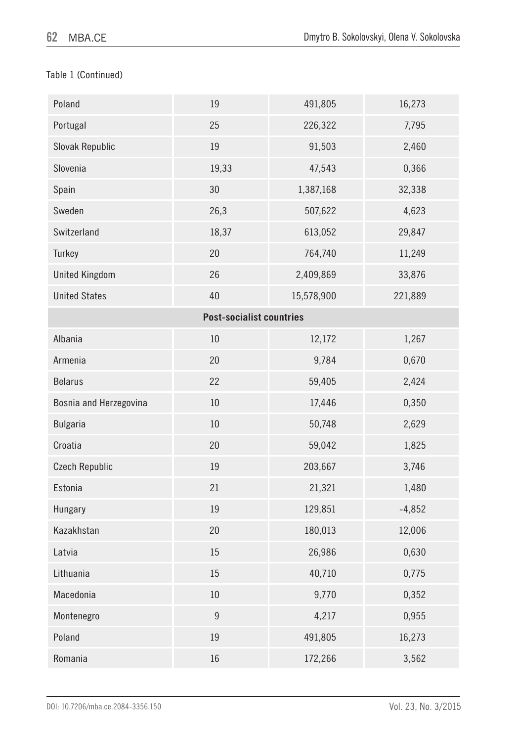#### Table 1 (Continued)

| Poland                 | 19                              | 491,805    | 16,273   |
|------------------------|---------------------------------|------------|----------|
| Portugal               | 25                              | 226,322    | 7,795    |
| Slovak Republic        | 19                              | 91,503     | 2,460    |
| Slovenia               | 19,33                           | 47,543     | 0,366    |
| Spain                  | 30                              | 1,387,168  | 32,338   |
| Sweden                 | 26,3                            | 507,622    | 4,623    |
| Switzerland            | 18,37                           | 613,052    | 29,847   |
| Turkey                 | 20                              | 764,740    | 11,249   |
| <b>United Kingdom</b>  | 26                              | 2,409,869  | 33,876   |
| <b>United States</b>   | 40                              | 15,578,900 | 221,889  |
|                        | <b>Post-socialist countries</b> |            |          |
| Albania                | 10                              | 12,172     | 1,267    |
| Armenia                | 20                              | 9,784      | 0,670    |
| <b>Belarus</b>         | 22                              | 59,405     | 2,424    |
| Bosnia and Herzegovina | 10                              | 17,446     | 0,350    |
| <b>Bulgaria</b>        | 10                              | 50,748     | 2,629    |
| Croatia                | 20                              | 59,042     | 1,825    |
| <b>Czech Republic</b>  | 19                              | 203,667    | 3,746    |
| Estonia                | 21                              | 21,321     | 1,480    |
| Hungary                | 19                              | 129,851    | $-4,852$ |
| Kazakhstan             | 20                              | 180,013    | 12,006   |
| Latvia                 | $15\,$                          | 26,986     | 0,630    |
| Lithuania              | 15                              | 40,710     | 0,775    |
| Macedonia              | $10\,$                          | 9,770      | 0,352    |
| Montenegro             | $\overline{9}$                  | 4,217      | 0,955    |
| Poland                 | 19                              | 491,805    | 16,273   |
| Romania                | $16\,$                          | 172,266    | 3,562    |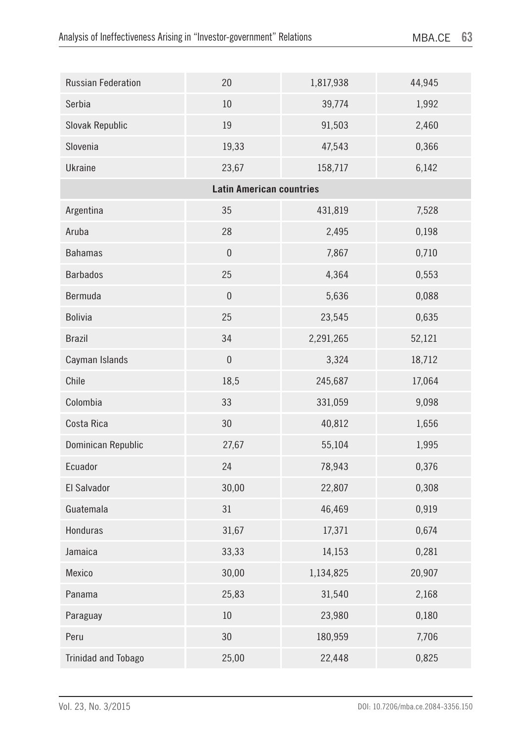| Russian Federation         | 20                              | 1,817,938 | 44,945 |
|----------------------------|---------------------------------|-----------|--------|
| Serbia                     | 10                              | 39,774    | 1,992  |
| Slovak Republic            | 19                              | 91,503    | 2,460  |
| Slovenia                   | 19,33                           | 47,543    | 0,366  |
| Ukraine                    | 23,67                           | 158,717   | 6,142  |
|                            | <b>Latin American countries</b> |           |        |
| Argentina                  | 35                              | 431,819   | 7,528  |
| Aruba                      | 28                              | 2,495     | 0,198  |
| <b>Bahamas</b>             | $\boldsymbol{0}$                | 7,867     | 0,710  |
| <b>Barbados</b>            | 25                              | 4,364     | 0,553  |
| Bermuda                    | $\mathbf{0}$                    | 5,636     | 0,088  |
| <b>Bolivia</b>             | 25                              | 23,545    | 0,635  |
| <b>Brazil</b>              | 34                              | 2,291,265 | 52,121 |
| Cayman Islands             | $\pmb{0}$                       | 3,324     | 18,712 |
| Chile                      | 18,5                            | 245,687   | 17,064 |
| Colombia                   | 33                              | 331,059   | 9,098  |
| Costa Rica                 | 30                              | 40,812    | 1,656  |
| Dominican Republic         | 27,67                           | 55,104    | 1,995  |
| Ecuador                    | 24                              | 78,943    | 0,376  |
| El Salvador                | 30,00                           | 22,807    | 0,308  |
| Guatemala                  | 31                              | 46,469    | 0,919  |
| Honduras                   | 31,67                           | 17,371    | 0,674  |
| Jamaica                    | 33,33                           | 14,153    | 0,281  |
| Mexico                     | 30,00                           | 1,134,825 | 20,907 |
| Panama                     | 25,83                           | 31,540    | 2,168  |
| Paraguay                   | $10\,$                          | 23,980    | 0,180  |
| Peru                       | 30                              | 180,959   | 7,706  |
| <b>Trinidad and Tobago</b> | 25,00                           | 22,448    | 0,825  |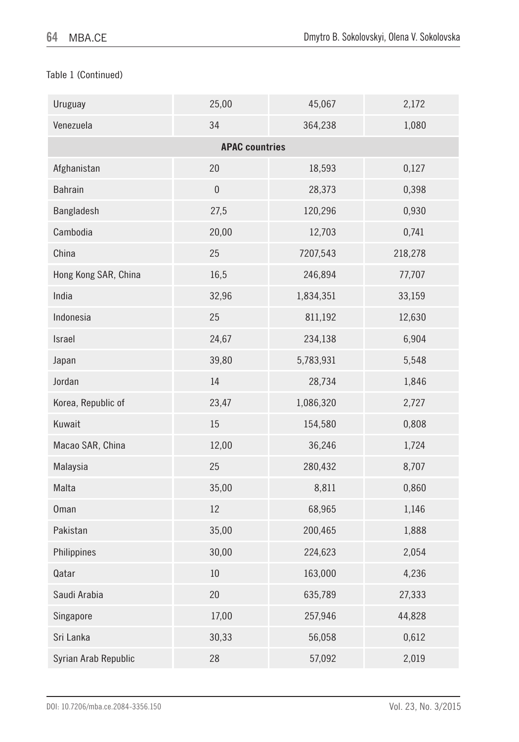#### Table 1 (Continued)

| Uruguay              | 25,00                 | 45,067    | 2,172   |
|----------------------|-----------------------|-----------|---------|
| Venezuela            | 34                    | 364,238   | 1,080   |
|                      | <b>APAC countries</b> |           |         |
| Afghanistan          | 20                    | 18,593    | 0,127   |
| Bahrain              | $\boldsymbol{0}$      | 28,373    | 0,398   |
| Bangladesh           | 27,5                  | 120,296   | 0,930   |
| Cambodia             | 20,00                 | 12,703    | 0,741   |
| China                | 25                    | 7207,543  | 218,278 |
| Hong Kong SAR, China | 16,5                  | 246,894   | 77,707  |
| India                | 32,96                 | 1,834,351 | 33,159  |
| Indonesia            | 25                    | 811,192   | 12,630  |
| Israel               | 24,67                 | 234,138   | 6,904   |
| Japan                | 39,80                 | 5,783,931 | 5,548   |
| Jordan               | 14                    | 28,734    | 1,846   |
| Korea, Republic of   | 23,47                 | 1,086,320 | 2,727   |
| Kuwait               | $15\,$                | 154,580   | 0,808   |
| Macao SAR, China     | 12,00                 | 36,246    | 1,724   |
| Malaysia             | 25                    | 280,432   | 8,707   |
| Malta                | 35,00                 | 8,811     | 0,860   |
| <b>Oman</b>          | 12                    | 68,965    | 1,146   |
| Pakistan             | 35,00                 | 200,465   | 1,888   |
| Philippines          | 30,00                 | 224,623   | 2,054   |
| Qatar                | $10\,$                | 163,000   | 4,236   |
| Saudi Arabia         | $20\,$                | 635,789   | 27,333  |
| Singapore            | 17,00                 | 257,946   | 44,828  |
| Sri Lanka            | 30,33                 | 56,058    | 0,612   |
| Syrian Arab Republic | 28                    | 57,092    | 2,019   |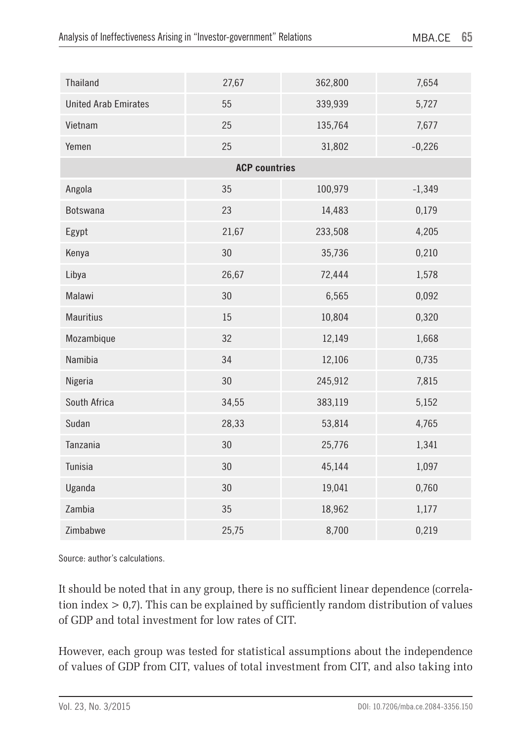| Thailand                    | 27,67                | 362,800 | 7,654    |
|-----------------------------|----------------------|---------|----------|
| <b>United Arab Emirates</b> | 55                   | 339,939 | 5,727    |
| Vietnam                     | 25                   | 135,764 | 7,677    |
| Yemen                       | 25                   | 31,802  | $-0,226$ |
|                             | <b>ACP countries</b> |         |          |
| Angola                      | 35                   | 100,979 | $-1,349$ |
| Botswana                    | 23                   | 14,483  | 0,179    |
| Egypt                       | 21,67                | 233,508 | 4,205    |
| Kenya                       | 30                   | 35,736  | 0,210    |
| Libya                       | 26,67                | 72,444  | 1,578    |
| Malawi                      | 30                   | 6,565   | 0,092    |
| <b>Mauritius</b>            | 15                   | 10,804  | 0,320    |
| Mozambique                  | 32                   | 12,149  | 1,668    |
| Namibia                     | 34                   | 12,106  | 0,735    |
| Nigeria                     | 30                   | 245,912 | 7,815    |
| South Africa                | 34,55                | 383,119 | 5,152    |
| Sudan                       | 28,33                | 53,814  | 4,765    |
| Tanzania                    | 30                   | 25,776  | 1,341    |
| Tunisia                     | 30                   | 45,144  | 1,097    |
| Uganda                      | 30                   | 19,041  | 0,760    |
| Zambia                      | 35                   | 18,962  | 1,177    |
| Zimbabwe                    | 25,75                | 8,700   | 0,219    |

Source: author's calculations.

It should be noted that in any group, there is no sufficient linear dependence (correlation index > 0,7). This can be explained by sufficiently random distribution of values of GDP and total investment for low rates of CIT.

However, each group was tested for statistical assumptions about the independence of values of GDP from CIT, values of total investment from CIT, and also taking into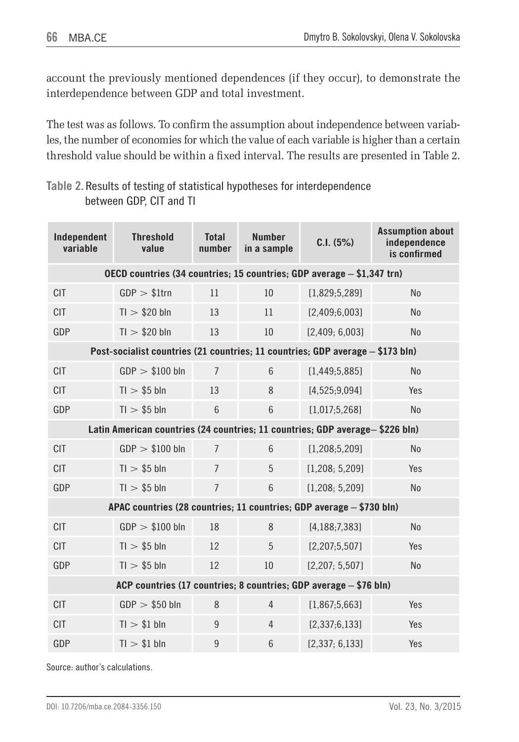account the previously mentioned dependences (if they occur), to demonstrate the interdependence between GDP and total investment.

The test was as follows. To confirm the assumption about independence between variables, the number of economies for which the value of each variable is higher than a certain threshold value should be within a fixed interval. The results are presented in Table 2.

#### **Table 2.** Results of testing of statistical hypotheses for interdependence between GDP, CIT and TI

| Independent<br>variable                                           | <b>Threshold</b><br>value                                                      | <b>Total</b><br>number | <b>Number</b><br>in a sample | C.I. (5%)        | <b>Assumption about</b><br>independence<br>is confirmed |
|-------------------------------------------------------------------|--------------------------------------------------------------------------------|------------------------|------------------------------|------------------|---------------------------------------------------------|
|                                                                   | OECD countries (34 countries; 15 countries; GDP average - \$1,347 trn)         |                        |                              |                  |                                                         |
| <b>CIT</b>                                                        | $GDP > $1$ trn                                                                 | 11                     | 10                           | [1,829;5,289]    | <b>No</b>                                               |
| <b>CIT</b>                                                        | $TI$ > \$20 bln                                                                | 13                     | 11                           | [2,409;6,003]    | N <sub>0</sub>                                          |
| GDP                                                               | $TI$ > \$20 bln                                                                | 13                     | 10                           | [2,409; 6,003]   | <b>No</b>                                               |
|                                                                   | Post-socialist countries (21 countries; 11 countries; GDP average - \$173 bln) |                        |                              |                  |                                                         |
| <b>CIT</b>                                                        | $GDP > $100$ bln                                                               | $\overline{7}$         | $6\phantom{1}$               | [1,449;5,885]    | N <sub>0</sub>                                          |
| <b>CIT</b>                                                        | $TI$ > \$5 bln                                                                 | 13                     | 8                            | [4,525;9,094]    | Yes                                                     |
| GDP                                                               | $TI$ > \$5 bln                                                                 | 6                      | $\,6\,$                      | [1,017;5,268]    | <b>No</b>                                               |
|                                                                   | Latin American countries (24 countries; 11 countries; GDP average-\$226 bln)   |                        |                              |                  |                                                         |
| <b>CIT</b>                                                        | $GDP > $100$ bln                                                               | $\overline{7}$         | $6\overline{6}$              | [1,208;5,209]    | N <sub>0</sub>                                          |
| <b>CIT</b>                                                        | $TI$ > \$5 bln                                                                 | $\overline{7}$         | 5                            | [1,208; 5,209]   | Yes                                                     |
| GDP                                                               | $TI$ > \$5 bln                                                                 | $\overline{7}$         | $6\phantom{1}$               | [1,208; 5,209]   | <b>No</b>                                               |
|                                                                   | APAC countries (28 countries; 11 countries; GDP average - \$730 bln)           |                        |                              |                  |                                                         |
| <b>CIT</b>                                                        | $GDP > $100$ bln                                                               | 18                     | 8                            | [4, 188; 7, 383] | No                                                      |
| <b>CIT</b>                                                        | $TI$ > \$5 bln                                                                 | 12                     | 5                            | [2, 207; 5, 507] | Yes                                                     |
| GDP                                                               | $TI$ > \$5 bln                                                                 | 12                     | 10                           | [2,207; 5,507]   | <b>No</b>                                               |
| ACP countries (17 countries; 8 countries; GDP average - \$76 bln) |                                                                                |                        |                              |                  |                                                         |
| <b>CIT</b>                                                        | $GDP > $50$ bln                                                                | 8                      | $\overline{4}$               | [1,867;5,663]    | Yes                                                     |
| <b>CIT</b>                                                        | $TI$ > \$1 bln                                                                 | $\boldsymbol{9}$       | $\overline{4}$               | [2, 337; 6, 133] | Yes                                                     |
| GDP                                                               | $TI$ > $$1$ bln                                                                | $\overline{9}$         | 6                            | [2,337; 6,133]   | Yes                                                     |

Source: author's calculations.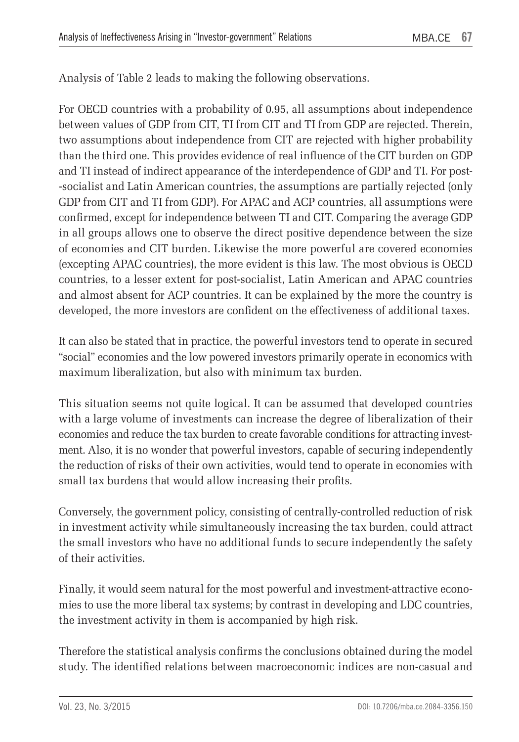Analysis of Table 2 leads to making the following observations.

For OECD countries with a probability of 0.95, all assumptions about independence between values of GDP from CIT, TI from CIT and TI from GDP are rejected. Therein, two assumptions about independence from CIT are rejected with higher probability than the third one. This provides evidence of real influence of the CIT burden on GDP and TI instead of indirect appearance of the interdependence of GDP and TI. For post- -socialist and Latin American countries, the assumptions are partially rejected (only GDP from CIT and TI from GDP). For APAC and ACP countries, all assumptions were confirmed, except for independence between TI and CIT. Comparing the average GDP in all groups allows one to observe the direct positive dependence between the size of economies and CIT burden. Likewise the more powerful are covered economies (excepting APAC countries), the more evident is this law. The most obvious is OECD countries, to a lesser extent for post-socialist, Latin American and APAC countries and almost absent for ACP countries. It can be explained by the more the country is developed, the more investors are confident on the effectiveness of additional taxes.

It can also be stated that in practice, the powerful investors tend to operate in secured "social" economies and the low powered investors primarily operate in economics with maximum liberalization, but also with minimum tax burden.

This situation seems not quite logical. It can be assumed that developed countries with a large volume of investments can increase the degree of liberalization of their economies and reduce the tax burden to create favorable conditions for attracting investment. Also, it is no wonder that powerful investors, capable of securing independently the reduction of risks of their own activities, would tend to operate in economies with small tax burdens that would allow increasing their profits.

Conversely, the government policy, consisting of centrally-controlled reduction of risk in investment activity while simultaneously increasing the tax burden, could attract the small investors who have no additional funds to secure independently the safety of their activities.

Finally, it would seem natural for the most powerful and investment-attractive economies to use the more liberal tax systems; by contrast in developing and LDC countries, the investment activity in them is accompanied by high risk.

Therefore the statistical analysis confirms the conclusions obtained during the model study. The identified relations between macroeconomic indices are non-casual and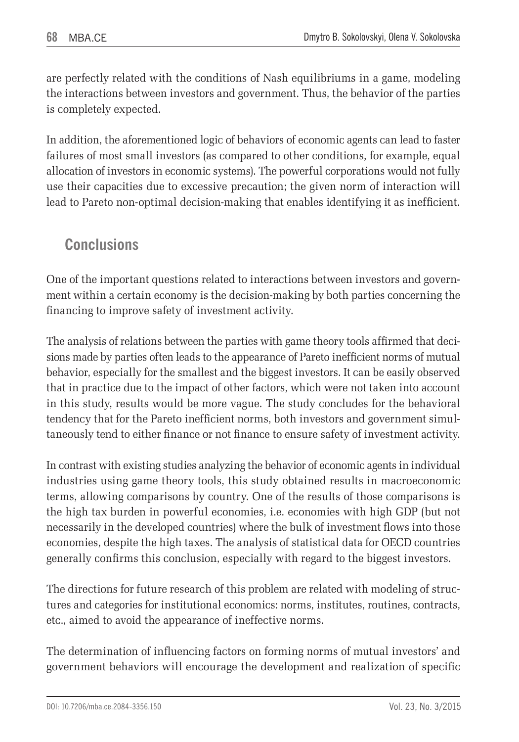are perfectly related with the conditions of Nash equilibriums in a game, modeling the interactions between investors and government. Thus, the behavior of the parties is completely expected.

In addition, the aforementioned logic of behaviors of economic agents can lead to faster failures of most small investors (as compared to other conditions, for example, equal allocation of investors in economic systems). The powerful corporations would not fully use their capacities due to excessive precaution; the given norm of interaction will lead to Pareto non-optimal decision-making that enables identifying it as inefficient.

## **Conclusions**

One of the important questions related to interactions between investors and government within a certain economy is the decision-making by both parties concerning the financing to improve safety of investment activity.

The analysis of relations between the parties with game theory tools affirmed that decisions made by parties often leads to the appearance of Pareto inefficient norms of mutual behavior, especially for the smallest and the biggest investors. It can be easily observed that in practice due to the impact of other factors, which were not taken into account in this study, results would be more vague. The study concludes for the behavioral tendency that for the Pareto inefficient norms, both investors and government simultaneously tend to either finance or not finance to ensure safety of investment activity.

In contrast with existing studies analyzing the behavior of economic agents in individual industries using game theory tools, this study obtained results in macroeconomic terms, allowing comparisons by country. One of the results of those comparisons is the high tax burden in powerful economies, i.e. economies with high GDP (but not necessarily in the developed countries) where the bulk of investment flows into those economies, despite the high taxes. The analysis of statistical data for OECD countries generally confirms this conclusion, especially with regard to the biggest investors.

The directions for future research of this problem are related with modeling of structures and categories for institutional economics: norms, institutes, routines, contracts, etc., aimed to avoid the appearance of ineffective norms.

The determination of influencing factors on forming norms of mutual investors' and government behaviors will encourage the development and realization of specific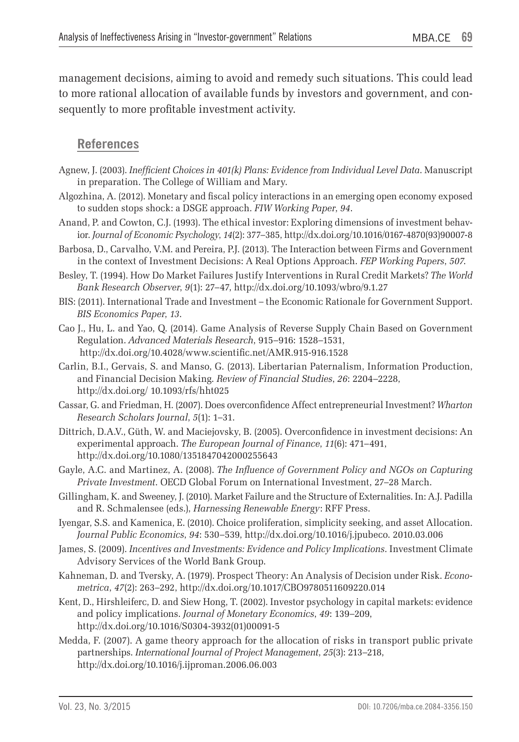management decisions, aiming to avoid and remedy such situations. This could lead to more rational allocation of available funds by investors and government, and consequently to more profitable investment activity.

### **References**

- Agnew, J. (2003). *Inefficient Choices in 401(k) Plans: Evidence from Individual Level Data*. Manuscript in preparation. The College of William and Mary.
- Algozhina, A. (2012). Monetary and fiscal policy interactions in an emerging open economy exposed to sudden stops shock: a DSGE approach. *FIW Working Paper*, *94*.
- Anand, P. and Cowton, C.J. (1993). The ethical investor: Exploring dimensions of investment behavior. *Journal of Economic Psychology*, *14*(2): 377–385, http://dx.doi.org/10.1016/0167-4870(93)90007-8
- Barbosa, D., Carvalho, V.M. and Pereira, P.J. (2013). The Interaction between Firms and Government in the context of Investment Decisions: A Real Options Approach. *FEP Working Papers*, *507*.
- Besley, T. (1994). How Do Market Failures Justify Interventions in Rural Credit Markets? *The World Bank Research Observer*, *9*(1): 27–47, http://dx.doi.org/10.1093/wbro/9.1.27
- BIS: (2011). International Trade and Investment the Economic Rationale for Government Support. *BIS Economics Paper*, *13*.
- Cao J., Hu, L. and Yao, Q. (2014). Game Analysis of Reverse Supply Chain Based on Government Regulation. *Advanced Materials Research*, 915–916: 1528–1531, http://dx.doi.org/10.4028/www.scientific.net/AMR.915-916.1528
- Carlin, B.I., Gervais, S. and Manso, G. (2013). Libertarian Paternalism, Information Production, and Financial Decision Making. *Review of Financial Studies*, *26*: 2204–2228, http://dx.doi.org/ 10.1093/rfs/hht025
- Cassar, G. and Friedman, H. (2007). Does overconfidence Affect entrepreneurial Investment? *Wharton Research Scholars Journal*, *5*(1): 1–31.
- Dittrich, D.A.V., Güth, W. and Maciejovsky, B. (2005). Overconfidence in investment decisions: An experimental approach. *The European Journal of Finance*, *11*(6): 471–491, http://dx.doi.org/10.1080/1351847042000255643
- Gayle, A.C. and Martinez, A. (2008). *The Influence of Government Policy and NGOs on Capturing Private Investment*. OECD Global Forum on International Investment, 27–28 March.
- Gillingham, K. and Sweeney, J. (2010). Market Failure and the Structure of Externalities. In: A.J. Padilla and R. Schmalensee (eds.), *Harnessing Renewable Energy*: RFF Press.
- Iyengar, S.S. and Kamenica, E. (2010). Choice proliferation, simplicity seeking, and asset Allocation. *Journal Public Economics*, *94*: 530–539, http://dx.doi.org/10.1016/j.jpubeco. 2010.03.006
- James, S. (2009). *Incentives and Investments: Evidence and Policy Implications*. Investment Climate Advisory Services of the World Bank Group.
- Kahneman, D. and Tversky, A. (1979). Prospect Theory: An Analysis of Decision under Risk. *Econometrica*, *47*(2): 263–292, http://dx.doi.org/10.1017/CBO9780511609220.014
- Kent, D., Hirshleiferc, D. and Siew Hong, T. (2002). Investor psychology in capital markets: evidence and policy implications. *Journal of Monetary Economics*, *49*: 139–209, http://dx.doi.org/10.1016/S0304-3932(01)00091-5
- Medda, F. (2007). A game theory approach for the allocation of risks in transport public private partnerships. *International Journal of Project Management*, *25*(3): 213–218, http://dx.doi.org/10.1016/j.ijproman.2006.06.003